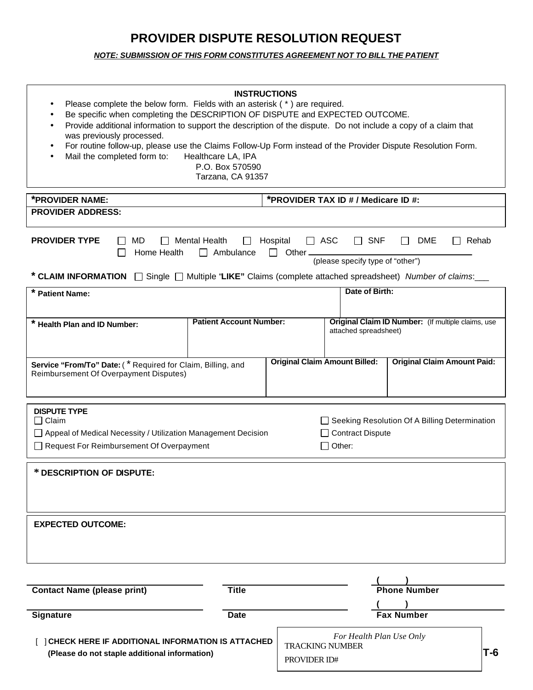## **PROVIDER DISPUTE RESOLUTION REQUEST**

### *NOTE: SUBMISSION OF THIS FORM CONSTITUTES AGREEMENT NOT TO BILL THE PATIENT*

| <b>INSTRUCTIONS</b><br>Please complete the below form. Fields with an asterisk (*) are required.<br>Be specific when completing the DESCRIPTION OF DISPUTE and EXPECTED OUTCOME.<br>Provide additional information to support the description of the dispute. Do not include a copy of a claim that<br>was previously processed.<br>For routine follow-up, please use the Claims Follow-Up Form instead of the Provider Dispute Resolution Form.<br>Mail the completed form to:<br>Healthcare LA, IPA<br>P.O. Box 570590<br>Tarzana, CA 91357 |                                        |                          |                                                                             |  |  |  |
|-----------------------------------------------------------------------------------------------------------------------------------------------------------------------------------------------------------------------------------------------------------------------------------------------------------------------------------------------------------------------------------------------------------------------------------------------------------------------------------------------------------------------------------------------|----------------------------------------|--------------------------|-----------------------------------------------------------------------------|--|--|--|
| *PROVIDER NAME:<br>*PROVIDER TAX ID # / Medicare ID #:                                                                                                                                                                                                                                                                                                                                                                                                                                                                                        |                                        |                          |                                                                             |  |  |  |
| <b>PROVIDER ADDRESS:</b>                                                                                                                                                                                                                                                                                                                                                                                                                                                                                                                      |                                        |                          |                                                                             |  |  |  |
| <b>PROVIDER TYPE</b><br>MD<br><b>Mental Health</b><br>$\Box$ ASC<br>Hospital<br>$\Box$ SNF<br>DME<br>$\Box$ Rehab<br>$\perp$<br>$\mathbf{1}$<br>$\mathbf{1}$<br>Home Health<br>$\Box$ Ambulance<br>$\Box$ Other $\Box$<br>$\mathsf{L}$<br>(please specify type of "other")<br>* CLAIM INFORMATION $\Box$ Single $\Box$ Multiple "LIKE" Claims (complete attached spreadsheet) Number of claims:                                                                                                                                               |                                        |                          |                                                                             |  |  |  |
| Date of Birth:<br>* Patient Name:                                                                                                                                                                                                                                                                                                                                                                                                                                                                                                             |                                        |                          |                                                                             |  |  |  |
|                                                                                                                                                                                                                                                                                                                                                                                                                                                                                                                                               |                                        |                          |                                                                             |  |  |  |
| * Health Plan and ID Number:                                                                                                                                                                                                                                                                                                                                                                                                                                                                                                                  | <b>Patient Account Number:</b>         |                          | Original Claim ID Number: (If multiple claims, use<br>attached spreadsheet) |  |  |  |
| <b>Original Claim Amount Paid:</b><br><b>Original Claim Amount Billed:</b><br>Service "From/To" Date: (* Required for Claim, Billing, and<br>Reimbursement Of Overpayment Disputes)                                                                                                                                                                                                                                                                                                                                                           |                                        |                          |                                                                             |  |  |  |
| <b>DISPUTE TYPE</b><br>$\Box$ Claim<br>Seeking Resolution Of A Billing Determination<br>□ Appeal of Medical Necessity / Utilization Management Decision<br>Contract Dispute<br>Request For Reimbursement Of Overpayment<br>$\Box$ Other:                                                                                                                                                                                                                                                                                                      |                                        |                          |                                                                             |  |  |  |
| * DESCRIPTION OF DISPUTE:                                                                                                                                                                                                                                                                                                                                                                                                                                                                                                                     |                                        |                          |                                                                             |  |  |  |
| <b>EXPECTED OUTCOME:</b>                                                                                                                                                                                                                                                                                                                                                                                                                                                                                                                      |                                        |                          |                                                                             |  |  |  |
| <b>Contact Name (please print)</b>                                                                                                                                                                                                                                                                                                                                                                                                                                                                                                            | <b>Title</b>                           |                          | <b>Phone Number</b>                                                         |  |  |  |
| <b>Signature</b>                                                                                                                                                                                                                                                                                                                                                                                                                                                                                                                              | <b>Date</b>                            |                          | <b>Fax Number</b>                                                           |  |  |  |
| [ ] CHECK HERE IF ADDITIONAL INFORMATION IS ATTACHED<br>(Please do not staple additional information)                                                                                                                                                                                                                                                                                                                                                                                                                                         | <b>TRACKING NUMBER</b><br>PROVIDER ID# | For Health Plan Use Only | T-6                                                                         |  |  |  |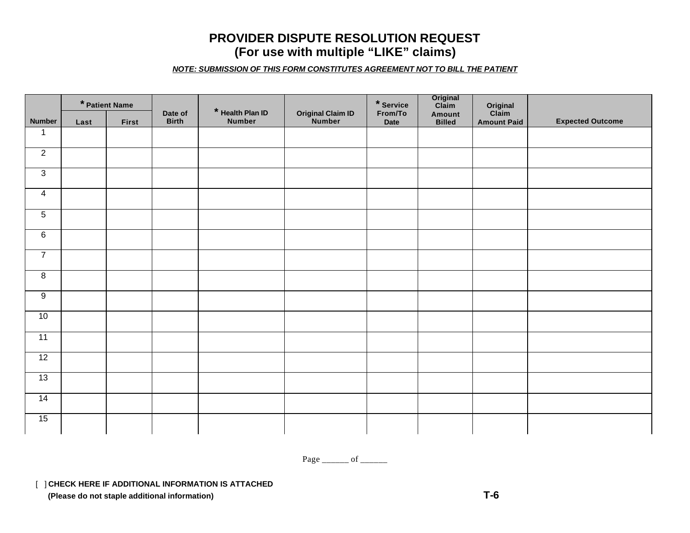## **PROVIDER DISPUTE RESOLUTION REQUEST (For use with multiple "LIKE" claims)**

*NOTE: SUBMISSION OF THIS FORM CONSTITUTES AGREEMENT NOT TO BILL THE PATIENT* 

|                 |      | * Patient Name |                         |                                   |                                     | $*$ Service     | Original<br>Claim       | Original<br>Claim  |                         |
|-----------------|------|----------------|-------------------------|-----------------------------------|-------------------------------------|-----------------|-------------------------|--------------------|-------------------------|
| <b>Number</b>   | Last | <b>First</b>   | Date of<br><b>Birth</b> | * Health Plan ID<br><b>Number</b> | <b>Original Claim ID<br/>Number</b> | From/To<br>Date | Amount<br><b>Billed</b> | <b>Amount Paid</b> | <b>Expected Outcome</b> |
| $\mathbf{1}$    |      |                |                         |                                   |                                     |                 |                         |                    |                         |
| $\overline{2}$  |      |                |                         |                                   |                                     |                 |                         |                    |                         |
| $\overline{3}$  |      |                |                         |                                   |                                     |                 |                         |                    |                         |
| $\overline{4}$  |      |                |                         |                                   |                                     |                 |                         |                    |                         |
| $\overline{5}$  |      |                |                         |                                   |                                     |                 |                         |                    |                         |
| 6               |      |                |                         |                                   |                                     |                 |                         |                    |                         |
| $\overline{7}$  |      |                |                         |                                   |                                     |                 |                         |                    |                         |
| $\overline{8}$  |      |                |                         |                                   |                                     |                 |                         |                    |                         |
| $\overline{9}$  |      |                |                         |                                   |                                     |                 |                         |                    |                         |
| 10              |      |                |                         |                                   |                                     |                 |                         |                    |                         |
| $\overline{11}$ |      |                |                         |                                   |                                     |                 |                         |                    |                         |
| 12              |      |                |                         |                                   |                                     |                 |                         |                    |                         |
| 13              |      |                |                         |                                   |                                     |                 |                         |                    |                         |
| 14              |      |                |                         |                                   |                                     |                 |                         |                    |                         |
| 15              |      |                |                         |                                   |                                     |                 |                         |                    |                         |

Page \_\_\_\_\_\_\_ of \_\_\_\_\_\_\_

[ ] **CHECK HERE IF ADDITIONAL INFORMATION IS ATTACHED**

 **(Please do not staple additional information) T-6**